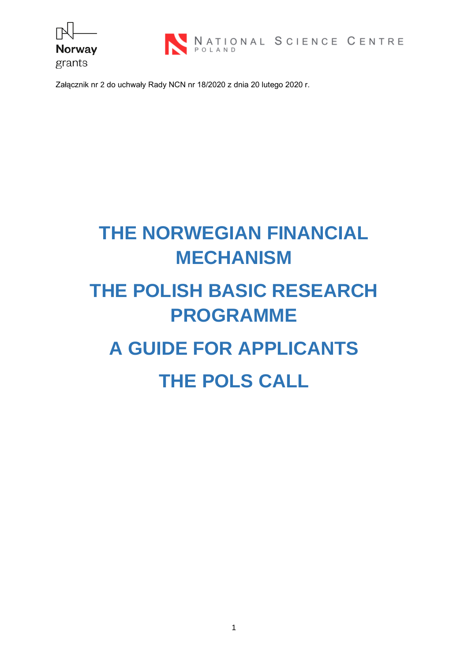



Załącznik nr 2 do uchwały Rady NCN nr 18/2020 z dnia 20 lutego 2020 r.

# **THE NORWEGIAN FINANCIAL MECHANISM**

# **THE POLISH BASIC RESEARCH PROGRAMME**

# **A GUIDE FOR APPLICANTS THE POLS CALL**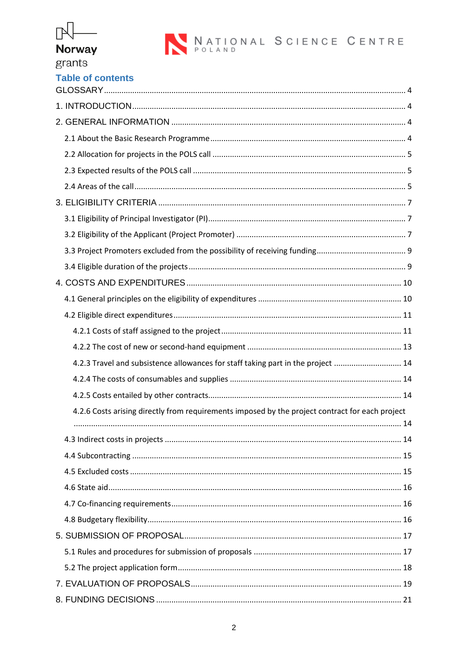## $\mathbb{R}$ Norway

grants

| <b>Table of contents</b> |  |  |  |
|--------------------------|--|--|--|

| 4.2.3 Travel and subsistence allowances for staff taking part in the project  14                |  |
|-------------------------------------------------------------------------------------------------|--|
|                                                                                                 |  |
|                                                                                                 |  |
| 4.2.6 Costs arising directly from requirements imposed by the project contract for each project |  |
|                                                                                                 |  |
|                                                                                                 |  |
|                                                                                                 |  |
|                                                                                                 |  |
|                                                                                                 |  |
|                                                                                                 |  |
|                                                                                                 |  |
|                                                                                                 |  |
|                                                                                                 |  |
|                                                                                                 |  |
|                                                                                                 |  |
|                                                                                                 |  |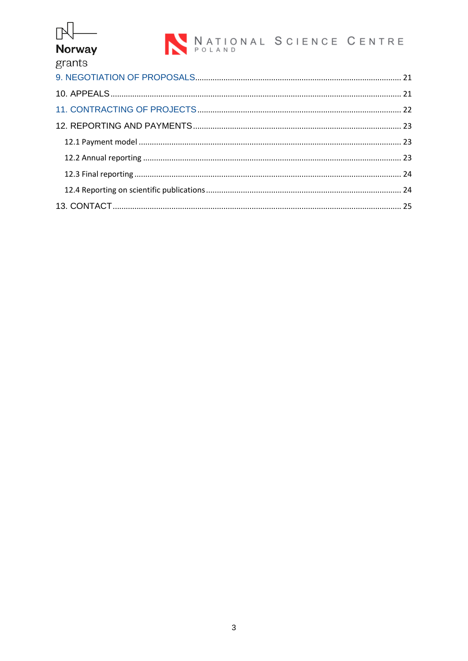## $\mathbb{N}$ Norway

## grants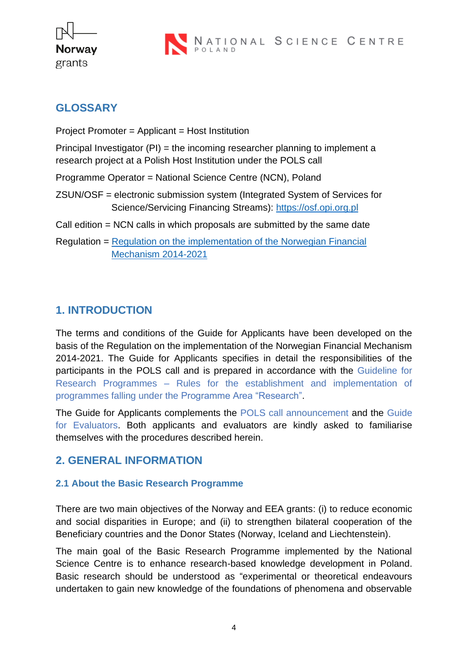

### <span id="page-3-0"></span>**GLOSSARY**

Project Promoter = Applicant = Host Institution

Principal Investigator (PI) = the incoming researcher planning to implement a research project at a Polish Host Institution under the POLS call

Programme Operator = National Science Centre (NCN), Poland

- ZSUN/OSF = electronic submission system (Integrated System of Services for Science/Servicing Financing Streams): [https://osf.opi.org.pl](https://osf.opi.org.pl/)
- Call edition = NCN calls in which proposals are submitted by the same date
- Regulation = [Regulation on the implementation of the Norwegian](https://www.ncn.gov.pl/sites/default/files/pliki/regulaminy/regulation_on_the_implementation_norwegian_financial_mechanism_2014-2021.pdf) Financial [Mechanism 2014-2021](https://www.ncn.gov.pl/sites/default/files/pliki/regulaminy/regulation_on_the_implementation_norwegian_financial_mechanism_2014-2021.pdf)

## <span id="page-3-1"></span>**1. INTRODUCTION**

The terms and conditions of the Guide for Applicants have been developed on the basis of the Regulation on the implementation of the Norwegian Financial Mechanism 2014-2021. The Guide for Applicants specifies in detail the responsibilities of the participants in the POLS call and is prepared in accordance with the Guideline for Research Programmes – Rules for the establishment and implementation of programmes falling under the Programme Area "Research".

The Guide for Applicants complements the POLS call announcement and the Guide for Evaluators. Both applicants and evaluators are kindly asked to familiarise themselves with the procedures described herein.

## <span id="page-3-2"></span>**2. GENERAL INFORMATION**

#### <span id="page-3-3"></span>**2.1 About the Basic Research Programme**

There are two main objectives of the Norway and EEA grants: (i) to reduce economic and social disparities in Europe; and (ii) to strengthen bilateral cooperation of the Beneficiary countries and the Donor States (Norway, Iceland and Liechtenstein).

The main goal of the Basic Research Programme implemented by the National Science Centre is to enhance research-based knowledge development in Poland. Basic research should be understood as "experimental or theoretical endeavours undertaken to gain new knowledge of the foundations of phenomena and observable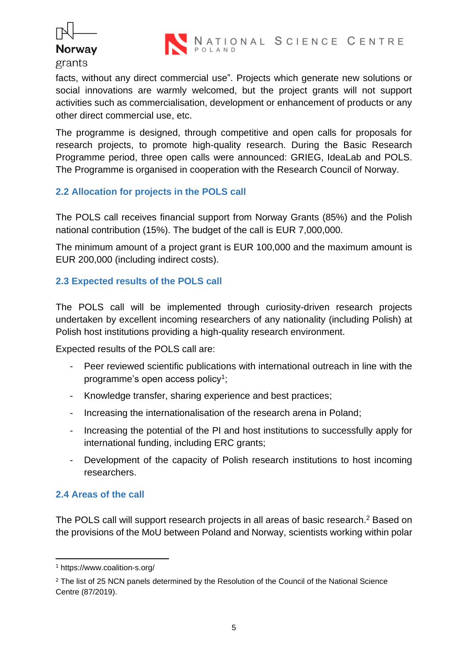



facts, without any direct commercial use". Projects which generate new solutions or social innovations are warmly welcomed, but the project grants will not support activities such as commercialisation, development or enhancement of products or any other direct commercial use, etc.

The programme is designed, through competitive and open calls for proposals for research projects, to promote high-quality research. During the Basic Research Programme period, three open calls were announced: GRIEG, IdeaLab and POLS. The Programme is organised in cooperation with the Research Council of Norway.

#### <span id="page-4-0"></span>**2.2 Allocation for projects in the POLS call**

The POLS call receives financial support from Norway Grants (85%) and the Polish national contribution (15%). The budget of the call is EUR 7,000,000.

The minimum amount of a project grant is EUR 100,000 and the maximum amount is EUR 200,000 (including indirect costs).

#### <span id="page-4-1"></span>**2.3 Expected results of the POLS call**

The POLS call will be implemented through curiosity-driven research projects undertaken by excellent incoming researchers of any nationality (including Polish) at Polish host institutions providing a high-quality research environment.

Expected results of the POLS call are:

- Peer reviewed scientific publications with international outreach in line with the programme's open access policy<sup>1</sup>;
- Knowledge transfer, sharing experience and best practices;
- Increasing the internationalisation of the research arena in Poland;
- Increasing the potential of the PI and host institutions to successfully apply for international funding, including ERC grants;
- Development of the capacity of Polish research institutions to host incoming researchers.

#### <span id="page-4-2"></span>**2.4 Areas of the call**

The POLS call will support research projects in all areas of basic research.<sup>2</sup> Based on the provisions of the MoU between Poland and Norway, scientists working within polar

<sup>1</sup> https://www.coalition-s.org/

<sup>&</sup>lt;sup>2</sup> The list of 25 NCN panels determined by the Resolution of the Council of the National Science Centre (87/2019).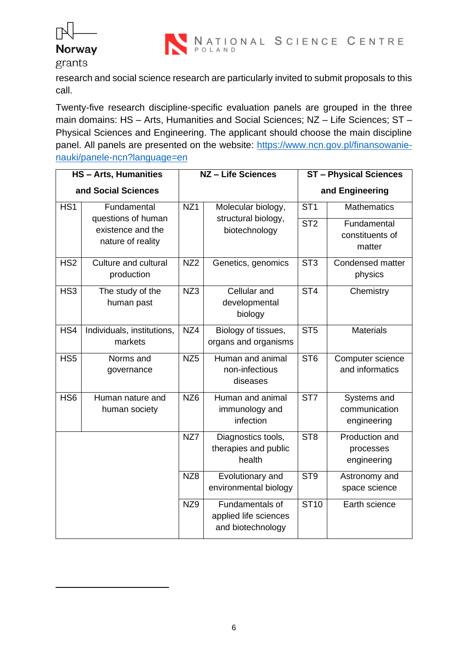



research and social science research are particularly invited to submit proposals to this call.

Twenty-five research discipline-specific evaluation panels are grouped in the three main domains: HS – Arts, Humanities and Social Sciences; NZ – Life Sciences; ST – Physical Sciences and Engineering. The applicant should choose the main discipline panel. All panels are presented on the website: [https://www.ncn.gov.pl/finansowanie](https://www.ncn.gov.pl/finansowanie-nauki/panele-ncn?language=en)[nauki/panele-ncn?language=en](https://www.ncn.gov.pl/finansowanie-nauki/panele-ncn?language=en)

| <b>HS-Arts, Humanities</b> |                                                                             | NZ - Life Sciences |                                                                      | <b>ST-Physical Sciences</b>        |                                                                |
|----------------------------|-----------------------------------------------------------------------------|--------------------|----------------------------------------------------------------------|------------------------------------|----------------------------------------------------------------|
| and Social Sciences        |                                                                             |                    |                                                                      |                                    | and Engineering                                                |
| HS <sub>1</sub>            | Fundamental<br>questions of human<br>existence and the<br>nature of reality | NZ <sub>1</sub>    | Molecular biology,<br>structural biology,<br>biotechnology           | ST <sub>1</sub><br>ST <sub>2</sub> | <b>Mathematics</b><br>Fundamental<br>constituents of<br>matter |
| HS <sub>2</sub>            | Culture and cultural<br>production                                          | NZ <sub>2</sub>    | Genetics, genomics                                                   | ST <sub>3</sub>                    | Condensed matter<br>physics                                    |
| HS <sub>3</sub>            | The study of the<br>human past                                              | NZ3                | Cellular and<br>developmental<br>biology                             | $\overline{\text{ST4}}$            | Chemistry                                                      |
| HS4                        | Individuals, institutions,<br>markets                                       | NZ4                | Biology of tissues,<br>organs and organisms                          | ST <sub>5</sub>                    | <b>Materials</b>                                               |
| HS <sub>5</sub>            | Norms and<br>governance                                                     | NZ <sub>5</sub>    | Human and animal<br>non-infectious<br>diseases                       | ST <sub>6</sub>                    | Computer science<br>and informatics                            |
| HS <sub>6</sub>            | Human nature and<br>human society                                           | NZ <sub>6</sub>    | Human and animal<br>immunology and<br>infection                      | ST <sub>7</sub>                    | Systems and<br>communication<br>engineering                    |
|                            |                                                                             | NZ7                | Diagnostics tools,<br>therapies and public<br>health                 | ST <sub>8</sub>                    | Production and<br>processes<br>engineering                     |
|                            |                                                                             | NZ8                | Evolutionary and<br>environmental biology                            | ST <sub>9</sub>                    | Astronomy and<br>space science                                 |
|                            |                                                                             | NZ <sub>9</sub>    | <b>Fundamentals of</b><br>applied life sciences<br>and biotechnology | <b>ST10</b>                        | Earth science                                                  |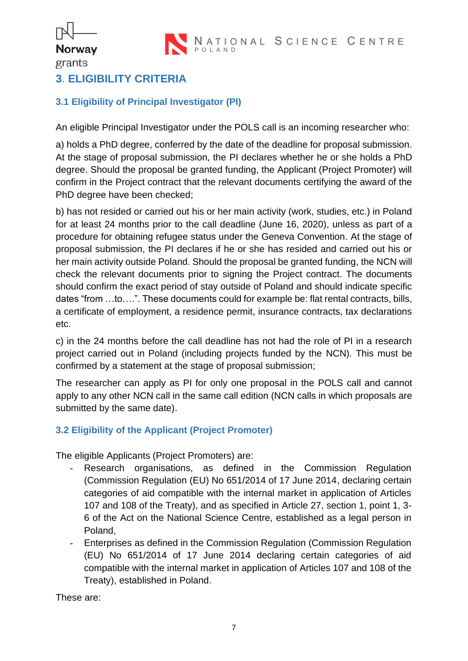NATIONAL SCIENCE CENTRE

## <span id="page-6-0"></span>**3**. **ELIGIBILITY CRITERIA**

ľ

**Norway** grants

#### <span id="page-6-1"></span>**3.1 Eligibility of Principal Investigator (PI)**

An eligible Principal Investigator under the POLS call is an incoming researcher who:

a) holds a PhD degree, conferred by the date of the deadline for proposal submission. At the stage of proposal submission, the PI declares whether he or she holds a PhD degree. Should the proposal be granted funding, the Applicant (Project Promoter) will confirm in the Project contract that the relevant documents certifying the award of the PhD degree have been checked;

b) has not resided or carried out his or her main activity (work, studies, etc.) in Poland for at least 24 months prior to the call deadline (June 16, 2020), unless as part of a procedure for obtaining refugee status under the Geneva Convention. At the stage of proposal submission, the PI declares if he or she has resided and carried out his or her main activity outside Poland. Should the proposal be granted funding, the NCN will check the relevant documents prior to signing the Project contract. The documents should confirm the exact period of stay outside of Poland and should indicate specific dates "from …to….". These documents could for example be: flat rental contracts, bills, a certificate of employment, a residence permit, insurance contracts, tax declarations etc.

c) in the 24 months before the call deadline has not had the role of PI in a research project carried out in Poland (including projects funded by the NCN). This must be confirmed by a statement at the stage of proposal submission;

The researcher can apply as PI for only one proposal in the POLS call and cannot apply to any other NCN call in the same call edition (NCN calls in which proposals are submitted by the same date).

#### <span id="page-6-2"></span>**3.2 Eligibility of the Applicant (Project Promoter)**

The eligible Applicants (Project Promoters) are:

- Research organisations, as defined in the Commission Regulation (Commission Regulation (EU) No 651/2014 of 17 June 2014, declaring certain categories of aid compatible with the internal market in application of Articles 107 and 108 of the Treaty), and as specified in Article 27, section 1, point 1, 3- 6 of the Act on the National Science Centre, established as a legal person in Poland,
- Enterprises as defined in the Commission Regulation (Commission Regulation (EU) No 651/2014 of 17 June 2014 declaring certain categories of aid compatible with the internal market in application of Articles 107 and 108 of the Treaty), established in Poland.

These are: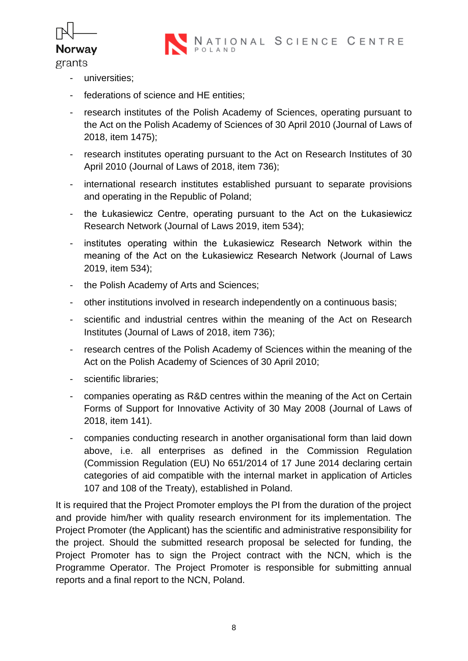

NATIONAL SCIENCE CENTRE

grants

- universities;
- federations of science and HE entities;
- research institutes of the Polish Academy of Sciences, operating pursuant to the Act on the Polish Academy of Sciences of 30 April 2010 (Journal of Laws of 2018, item 1475);
- research institutes operating pursuant to the Act on Research Institutes of 30 April 2010 (Journal of Laws of 2018, item 736);
- international research institutes established pursuant to separate provisions and operating in the Republic of Poland;
- the Łukasiewicz Centre, operating pursuant to the Act on the Łukasiewicz Research Network (Journal of Laws 2019, item 534);
- institutes operating within the Łukasiewicz Research Network within the meaning of the Act on the Łukasiewicz Research Network (Journal of Laws 2019, item 534);
- the Polish Academy of Arts and Sciences;
- other institutions involved in research independently on a continuous basis;
- scientific and industrial centres within the meaning of the Act on Research Institutes (Journal of Laws of 2018, item 736);
- research centres of the Polish Academy of Sciences within the meaning of the Act on the Polish Academy of Sciences of 30 April 2010;
- scientific libraries;
- companies operating as R&D centres within the meaning of the Act on Certain Forms of Support for Innovative Activity of 30 May 2008 (Journal of Laws of 2018, item 141).
- companies conducting research in another organisational form than laid down above, i.e. all enterprises as defined in the Commission Regulation (Commission Regulation (EU) No 651/2014 of 17 June 2014 declaring certain categories of aid compatible with the internal market in application of Articles 107 and 108 of the Treaty), established in Poland.

It is required that the Project Promoter employs the PI from the duration of the project and provide him/her with quality research environment for its implementation. The Project Promoter (the Applicant) has the scientific and administrative responsibility for the project. Should the submitted research proposal be selected for funding, the Project Promoter has to sign the Project contract with the NCN, which is the Programme Operator. The Project Promoter is responsible for submitting annual reports and a final report to the NCN, Poland.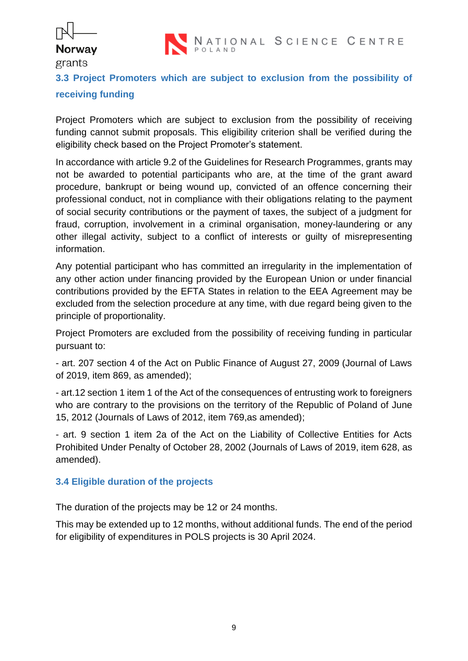## ľ **Norway**

#### grants



## <span id="page-8-0"></span>**3.3 Project Promoters which are subject to exclusion from the possibility of receiving funding**

Project Promoters which are subject to exclusion from the possibility of receiving funding cannot submit proposals. This eligibility criterion shall be verified during the eligibility check based on the Project Promoter's statement.

In accordance with article 9.2 of the Guidelines for Research Programmes, grants may not be awarded to potential participants who are, at the time of the grant award procedure, bankrupt or being wound up, convicted of an offence concerning their professional conduct, not in compliance with their obligations relating to the payment of social security contributions or the payment of taxes, the subject of a judgment for fraud, corruption, involvement in a criminal organisation, money-laundering or any other illegal activity, subject to a conflict of interests or guilty of misrepresenting information.

Any potential participant who has committed an irregularity in the implementation of any other action under financing provided by the European Union or under financial contributions provided by the EFTA States in relation to the EEA Agreement may be excluded from the selection procedure at any time, with due regard being given to the principle of proportionality.

Project Promoters are excluded from the possibility of receiving funding in particular pursuant to:

- art. 207 section 4 of the Act on Public Finance of August 27, 2009 (Journal of Laws of 2019, item 869, as amended);

- art.12 section 1 item 1 of the Act of the consequences of entrusting work to foreigners who are contrary to the provisions on the territory of the Republic of Poland of June 15, 2012 (Journals of Laws of 2012, item 769,as amended);

- art. 9 section 1 item 2a of the Act on the Liability of Collective Entities for Acts Prohibited Under Penalty of October 28, 2002 (Journals of Laws of 2019, item 628, as amended).

#### <span id="page-8-1"></span>**3.4 Eligible duration of the projects**

The duration of the projects may be 12 or 24 months.

This may be extended up to 12 months, without additional funds. The end of the period for eligibility of expenditures in POLS projects is 30 April 2024.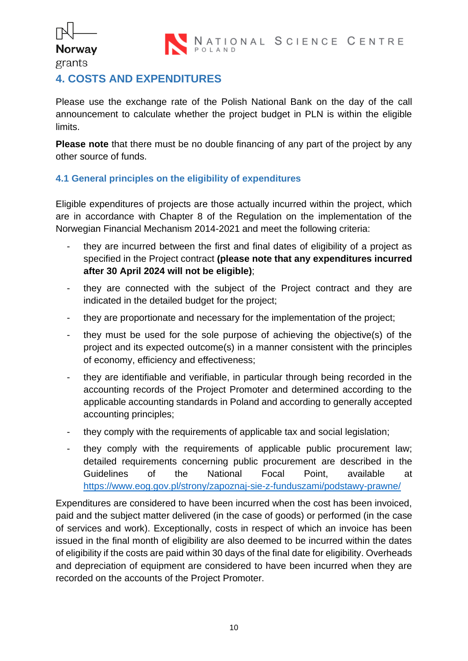

## ľ **Norway** grants

## <span id="page-9-0"></span>**4. COSTS AND EXPENDITURES**

Please use the exchange rate of the Polish National Bank on the day of the call announcement to calculate whether the project budget in PLN is within the eligible limits.

**Please note** that there must be no double financing of any part of the project by any other source of funds.

#### <span id="page-9-1"></span>**4.1 General principles on the eligibility of expenditures**

Eligible expenditures of projects are those actually incurred within the project, which are in accordance with Chapter 8 of the Regulation on the implementation of the Norwegian Financial Mechanism 2014-2021 and meet the following criteria:

- they are incurred between the first and final dates of eligibility of a project as specified in the Project contract **(please note that any expenditures incurred after 30 April 2024 will not be eligible)**;
- they are connected with the subject of the Project contract and they are indicated in the detailed budget for the project;
- they are proportionate and necessary for the implementation of the project;
- they must be used for the sole purpose of achieving the objective(s) of the project and its expected outcome(s) in a manner consistent with the principles of economy, efficiency and effectiveness;
- they are identifiable and verifiable, in particular through being recorded in the accounting records of the Project Promoter and determined according to the applicable accounting standards in Poland and according to generally accepted accounting principles;
- they comply with the requirements of applicable tax and social legislation;
- they comply with the requirements of applicable public procurement law; detailed requirements concerning public procurement are described in the Guidelines of the National Focal Point, available at <https://www.eog.gov.pl/strony/zapoznaj-sie-z-funduszami/podstawy-prawne/>

Expenditures are considered to have been incurred when the cost has been invoiced, paid and the subject matter delivered (in the case of goods) or performed (in the case of services and work). Exceptionally, costs in respect of which an invoice has been issued in the final month of eligibility are also deemed to be incurred within the dates of eligibility if the costs are paid within 30 days of the final date for eligibility. Overheads and depreciation of equipment are considered to have been incurred when they are recorded on the accounts of the Project Promoter.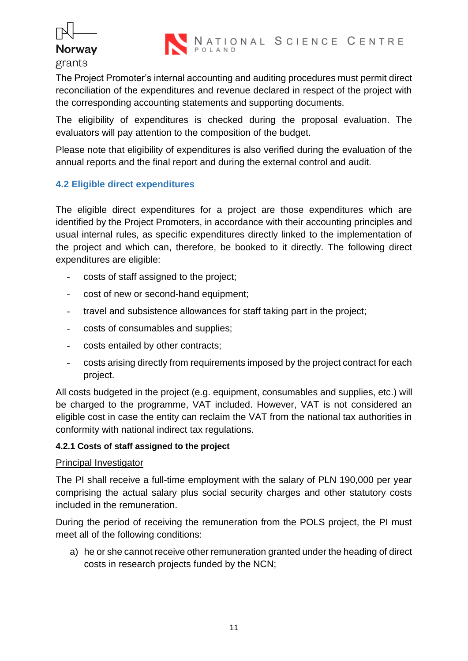## ľ **Norway**





The Project Promoter's internal accounting and auditing procedures must permit direct reconciliation of the expenditures and revenue declared in respect of the project with the corresponding accounting statements and supporting documents.

The eligibility of expenditures is checked during the proposal evaluation. The evaluators will pay attention to the composition of the budget.

Please note that eligibility of expenditures is also verified during the evaluation of the annual reports and the final report and during the external control and audit.

#### <span id="page-10-0"></span>**4.2 Eligible direct expenditures**

The eligible direct expenditures for a project are those expenditures which are identified by the Project Promoters, in accordance with their accounting principles and usual internal rules, as specific expenditures directly linked to the implementation of the project and which can, therefore, be booked to it directly. The following direct expenditures are eligible:

- costs of staff assigned to the project;
- cost of new or second-hand equipment;
- travel and subsistence allowances for staff taking part in the project;
- costs of consumables and supplies;
- costs entailed by other contracts;
- costs arising directly from requirements imposed by the project contract for each project.

All costs budgeted in the project (e.g. equipment, consumables and supplies, etc.) will be charged to the programme, VAT included. However, VAT is not considered an eligible cost in case the entity can reclaim the VAT from the national tax authorities in conformity with national indirect tax regulations.

#### <span id="page-10-1"></span>**4.2.1 Costs of staff assigned to the project**

#### Principal Investigator

The PI shall receive a full-time employment with the salary of PLN 190,000 per year comprising the actual salary plus social security charges and other statutory costs included in the remuneration.

During the period of receiving the remuneration from the POLS project, the PI must meet all of the following conditions:

a) he or she cannot receive other remuneration granted under the heading of direct costs in research projects funded by the NCN;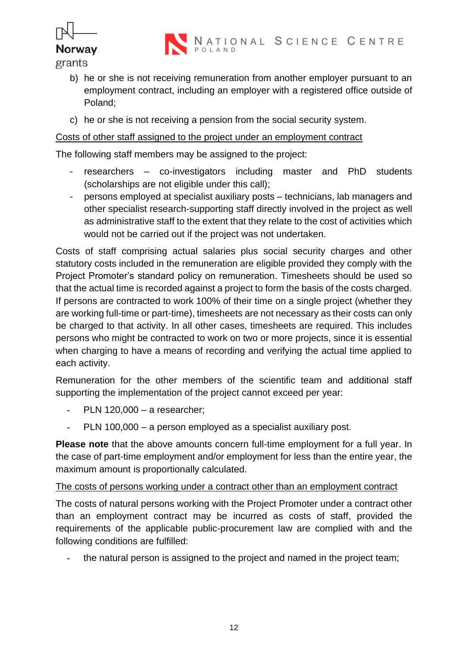

- b) he or she is not receiving remuneration from another employer pursuant to an employment contract, including an employer with a registered office outside of Poland;
- c) he or she is not receiving a pension from the social security system.

#### Costs of other staff assigned to the project under an employment contract

The following staff members may be assigned to the project:

- researchers co-investigators including master and PhD students (scholarships are not eligible under this call);
- persons employed at specialist auxiliary posts technicians, lab managers and other specialist research-supporting staff directly involved in the project as well as administrative staff to the extent that they relate to the cost of activities which would not be carried out if the project was not undertaken.

Costs of staff comprising actual salaries plus social security charges and other statutory costs included in the remuneration are eligible provided they comply with the Project Promoter's standard policy on remuneration. Timesheets should be used so that the actual time is recorded against a project to form the basis of the costs charged. If persons are contracted to work 100% of their time on a single project (whether they are working full-time or part-time), timesheets are not necessary as their costs can only be charged to that activity. In all other cases, timesheets are required. This includes persons who might be contracted to work on two or more projects, since it is essential when charging to have a means of recording and verifying the actual time applied to each activity.

Remuneration for the other members of the scientific team and additional staff supporting the implementation of the project cannot exceed per year:

- PLN 120,000 a researcher;
- PLN 100,000 a person employed as a specialist auxiliary post.

**Please note** that the above amounts concern full-time employment for a full year. In the case of part-time employment and/or employment for less than the entire year, the maximum amount is proportionally calculated.

#### The costs of persons working under a contract other than an employment contract

The costs of natural persons working with the Project Promoter under a contract other than an employment contract may be incurred as costs of staff, provided the requirements of the applicable public-procurement law are complied with and the following conditions are fulfilled:

the natural person is assigned to the project and named in the project team;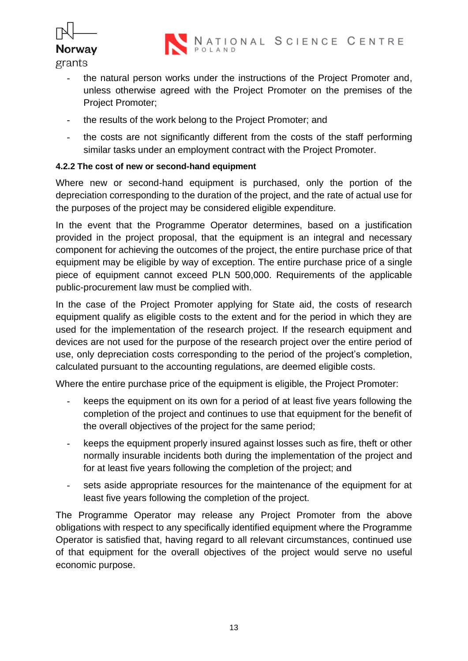

- the natural person works under the instructions of the Project Promoter and, unless otherwise agreed with the Project Promoter on the premises of the Project Promoter;
- the results of the work belong to the Project Promoter; and
- the costs are not significantly different from the costs of the staff performing similar tasks under an employment contract with the Project Promoter.

#### <span id="page-12-0"></span>**4.2.2 The cost of new or second-hand equipment**

Where new or second-hand equipment is purchased, only the portion of the depreciation corresponding to the duration of the project, and the rate of actual use for the purposes of the project may be considered eligible expenditure.

In the event that the Programme Operator determines, based on a justification provided in the project proposal, that the equipment is an integral and necessary component for achieving the outcomes of the project, the entire purchase price of that equipment may be eligible by way of exception. The entire purchase price of a single piece of equipment cannot exceed PLN 500,000. Requirements of the applicable public-procurement law must be complied with.

In the case of the Project Promoter applying for State aid, the costs of research equipment qualify as eligible costs to the extent and for the period in which they are used for the implementation of the research project. If the research equipment and devices are not used for the purpose of the research project over the entire period of use, only depreciation costs corresponding to the period of the project's completion, calculated pursuant to the accounting regulations, are deemed eligible costs.

Where the entire purchase price of the equipment is eligible, the Project Promoter:

- keeps the equipment on its own for a period of at least five years following the completion of the project and continues to use that equipment for the benefit of the overall objectives of the project for the same period;
- keeps the equipment properly insured against losses such as fire, theft or other normally insurable incidents both during the implementation of the project and for at least five years following the completion of the project; and
- sets aside appropriate resources for the maintenance of the equipment for at least five years following the completion of the project.

The Programme Operator may release any Project Promoter from the above obligations with respect to any specifically identified equipment where the Programme Operator is satisfied that, having regard to all relevant circumstances, continued use of that equipment for the overall objectives of the project would serve no useful economic purpose.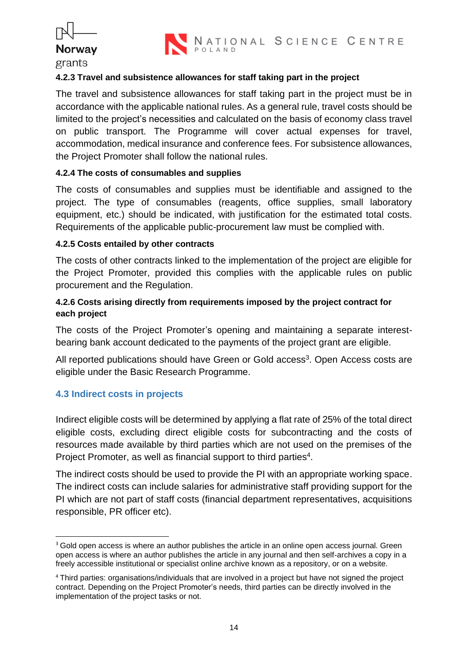



#### <span id="page-13-0"></span>**4.2.3 Travel and subsistence allowances for staff taking part in the project**

The travel and subsistence allowances for staff taking part in the project must be in accordance with the applicable national rules. As a general rule, travel costs should be limited to the project's necessities and calculated on the basis of economy class travel on public transport. The Programme will cover actual expenses for travel, accommodation, medical insurance and conference fees. For subsistence allowances, the Project Promoter shall follow the national rules.

#### <span id="page-13-1"></span>**4.2.4 The costs of consumables and supplies**

The costs of consumables and supplies must be identifiable and assigned to the project. The type of consumables (reagents, office supplies, small laboratory equipment, etc.) should be indicated, with justification for the estimated total costs. Requirements of the applicable public-procurement law must be complied with.

#### <span id="page-13-2"></span>**4.2.5 Costs entailed by other contracts**

The costs of other contracts linked to the implementation of the project are eligible for the Project Promoter, provided this complies with the applicable rules on public procurement and the Regulation.

#### <span id="page-13-3"></span>**4.2.6 Costs arising directly from requirements imposed by the project contract for each project**

The costs of the Project Promoter's opening and maintaining a separate interestbearing bank account dedicated to the payments of the project grant are eligible.

All reported publications should have Green or Gold access<sup>3</sup>. Open Access costs are eligible under the Basic Research Programme.

#### <span id="page-13-4"></span>**4.3 Indirect costs in projects**

Indirect eligible costs will be determined by applying a flat rate of 25% of the total direct eligible costs, excluding direct eligible costs for subcontracting and the costs of resources made available by third parties which are not used on the premises of the Project Promoter, as well as financial support to third parties<sup>4</sup>.

The indirect costs should be used to provide the PI with an appropriate working space. The indirect costs can include salaries for administrative staff providing support for the PI which are not part of staff costs (financial department representatives, acquisitions responsible, PR officer etc).

<sup>&</sup>lt;sup>3</sup> Gold open access is where an author publishes the article in an online open access journal. Green open access is where an author publishes the article in any journal and then self-archives a copy in a freely accessible institutional or specialist online archive known as a repository, or on a website.

<sup>4</sup> Third parties: organisations/individuals that are involved in a project but have not signed the project contract. Depending on the Project Promoter's needs, third parties can be directly involved in the implementation of the project tasks or not.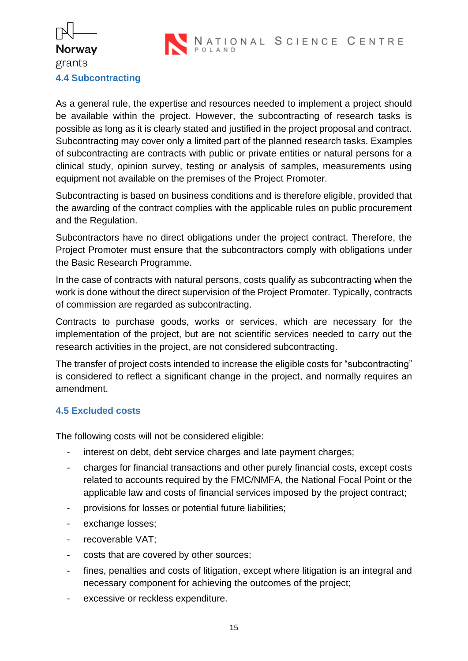

## ľ **Norway** grants **4.4 Subcontracting**

<span id="page-14-0"></span>As a general rule, the expertise and resources needed to implement a project should be available within the project. However, the subcontracting of research tasks is possible as long as it is clearly stated and justified in the project proposal and contract. Subcontracting may cover only a limited part of the planned research tasks. Examples of subcontracting are contracts with public or private entities or natural persons for a clinical study, opinion survey, testing or analysis of samples, measurements using equipment not available on the premises of the Project Promoter.

Subcontracting is based on business conditions and is therefore eligible, provided that the awarding of the contract complies with the applicable rules on public procurement and the Regulation.

Subcontractors have no direct obligations under the project contract. Therefore, the Project Promoter must ensure that the subcontractors comply with obligations under the Basic Research Programme.

In the case of contracts with natural persons, costs qualify as subcontracting when the work is done without the direct supervision of the Project Promoter. Typically, contracts of commission are regarded as subcontracting.

Contracts to purchase goods, works or services, which are necessary for the implementation of the project, but are not scientific services needed to carry out the research activities in the project, are not considered subcontracting.

The transfer of project costs intended to increase the eligible costs for "subcontracting" is considered to reflect a significant change in the project, and normally requires an amendment.

#### <span id="page-14-1"></span>**4.5 Excluded costs**

The following costs will not be considered eligible:

- interest on debt, debt service charges and late payment charges;
- charges for financial transactions and other purely financial costs, except costs related to accounts required by the FMC/NMFA, the National Focal Point or the applicable law and costs of financial services imposed by the project contract;
- provisions for losses or potential future liabilities;
- exchange losses;
- recoverable VAT;
- costs that are covered by other sources:
- fines, penalties and costs of litigation, except where litigation is an integral and necessary component for achieving the outcomes of the project;
- excessive or reckless expenditure.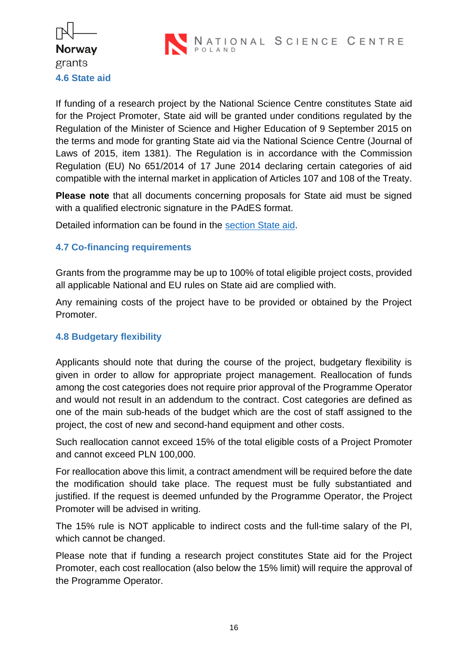

<span id="page-15-0"></span>If funding of a research project by the National Science Centre constitutes State aid for the Project Promoter, State aid will be granted under conditions regulated by the Regulation of the Minister of Science and Higher Education of 9 September 2015 on the terms and mode for granting State aid via the National Science Centre (Journal of Laws of 2015, item 1381). The Regulation is in accordance with the Commission Regulation (EU) No 651/2014 of 17 June 2014 declaring certain categories of aid compatible with the internal market in application of Articles 107 and 108 of the Treaty.

**Please note** that all documents concerning proposals for State aid must be signed with a qualified electronic signature in the PAdES format.

Detailed information can be found in the [section State aid.](https://www.ncn.gov.pl/finansowanie-nauki/pomoc-publiczna?language=en)

#### <span id="page-15-1"></span>**4.7 Co-financing requirements**

Grants from the programme may be up to 100% of total eligible project costs, provided all applicable National and EU rules on State aid are complied with.

Any remaining costs of the project have to be provided or obtained by the Project Promoter.

#### <span id="page-15-2"></span>**4.8 Budgetary flexibility**

Applicants should note that during the course of the project, budgetary flexibility is given in order to allow for appropriate project management. Reallocation of funds among the cost categories does not require prior approval of the Programme Operator and would not result in an addendum to the contract. Cost categories are defined as one of the main sub-heads of the budget which are the cost of staff assigned to the project, the cost of new and second-hand equipment and other costs.

Such reallocation cannot exceed 15% of the total eligible costs of a Project Promoter and cannot exceed PLN 100,000.

For reallocation above this limit, a contract amendment will be required before the date the modification should take place. The request must be fully substantiated and justified. If the request is deemed unfunded by the Programme Operator, the Project Promoter will be advised in writing.

The 15% rule is NOT applicable to indirect costs and the full-time salary of the PI, which cannot be changed.

Please note that if funding a research project constitutes State aid for the Project Promoter, each cost reallocation (also below the 15% limit) will require the approval of the Programme Operator.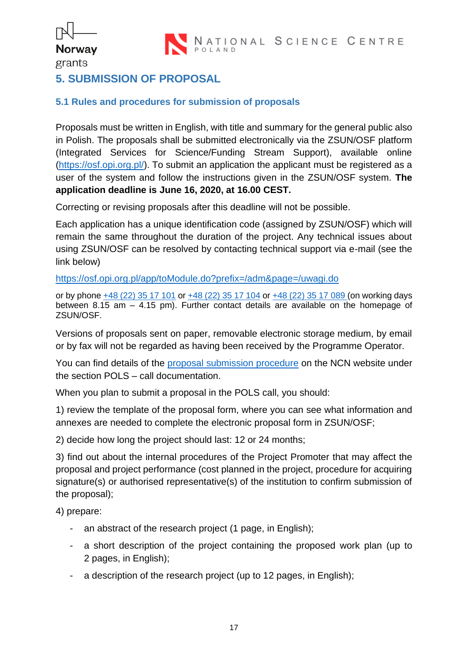## ľ **Norway** grants

### <span id="page-16-0"></span>**5. SUBMISSION OF PROPOSAL**

#### <span id="page-16-1"></span>**5.1 Rules and procedures for submission of proposals**

Proposals must be written in English, with title and summary for the general public also in Polish. The proposals shall be submitted electronically via the ZSUN/OSF platform (Integrated Services for Science/Funding Stream Support), available online [\(https://osf.opi.org.pl/\)](https://osf.opi.org.pl/). To submit an application the applicant must be registered as a user of the system and follow the instructions given in the ZSUN/OSF system. **The application deadline is June 16, 2020, at 16.00 CEST.**

Correcting or revising proposals after this deadline will not be possible.

Each application has a unique identification code (assigned by ZSUN/OSF) which will remain the same throughout the duration of the project. Any technical issues about using ZSUN/OSF can be resolved by contacting technical support via e-mail (see the link below)

<https://osf.opi.org.pl/app/toModule.do?prefix=/adm&page=/uwagi.do>

or by phone [+48 \(22\) 35 17 101](tel:0048223517101) or [+48 \(22\) 35 17 104](tel:0048223517104) or [+48 \(22\) 35 17](tel:0048223517089) 089 (on working days between 8.15 am – 4.15 pm). Further contact details are available on the homepage of ZSUN/OSF.

Versions of proposals sent on paper, removable electronic storage medium, by email or by fax will not be regarded as having been received by the Programme Operator.

You can find details of the [proposal submission procedure](https://www.ncn.gov.pl/sites/default/files/pliki/regulaminy/procedura_skladania_wniosku_grieg_ang.pdf) on the NCN website under the section POLS – call documentation.

When you plan to submit a proposal in the POLS call, you should:

1) review the template of the proposal form, where you can see what information and annexes are needed to complete the electronic proposal form in ZSUN/OSF;

2) decide how long the project should last: 12 or 24 months;

3) find out about the internal procedures of the Project Promoter that may affect the proposal and project performance (cost planned in the project, procedure for acquiring signature(s) or authorised representative(s) of the institution to confirm submission of the proposal);

4) prepare:

- an abstract of the research project (1 page, in English);
- a short description of the project containing the proposed work plan (up to 2 pages, in English);
- a description of the research project (up to 12 pages, in English);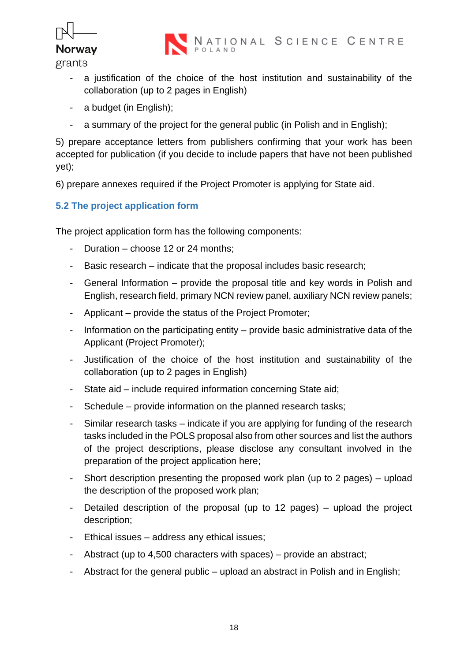

- a justification of the choice of the host institution and sustainability of the collaboration (up to 2 pages in English)
- a budget (in English);
- a summary of the project for the general public (in Polish and in English);

5) prepare acceptance letters from publishers confirming that your work has been accepted for publication (if you decide to include papers that have not been published yet);

6) prepare annexes required if the Project Promoter is applying for State aid.

#### <span id="page-17-0"></span>**5.2 The project application form**

The project application form has the following components:

- Duration choose 12 or 24 months;
- Basic research indicate that the proposal includes basic research;
- General Information provide the proposal title and key words in Polish and English, research field, primary NCN review panel, auxiliary NCN review panels;
- Applicant provide the status of the Project Promoter;
- Information on the participating entity provide basic administrative data of the Applicant (Project Promoter);
- Justification of the choice of the host institution and sustainability of the collaboration (up to 2 pages in English)
- State aid include required information concerning State aid;
- Schedule provide information on the planned research tasks;
- Similar research tasks indicate if you are applying for funding of the research tasks included in the POLS proposal also from other sources and list the authors of the project descriptions, please disclose any consultant involved in the preparation of the project application here;
- Short description presenting the proposed work plan (up to 2 pages) upload the description of the proposed work plan;
- Detailed description of the proposal (up to 12 pages) upload the project description;
- Ethical issues address any ethical issues;
- Abstract (up to 4,500 characters with spaces) provide an abstract;
- Abstract for the general public upload an abstract in Polish and in English;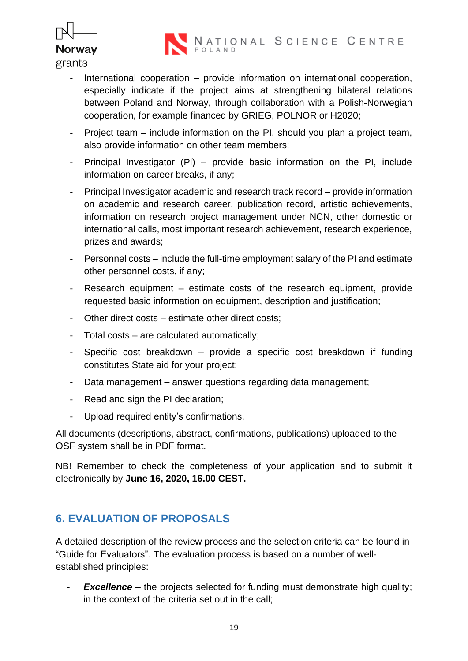



- International cooperation  $-$  provide information on international cooperation, especially indicate if the project aims at strengthening bilateral relations between Poland and Norway, through collaboration with a Polish-Norwegian cooperation, for example financed by GRIEG, POLNOR or H2020;
- Project team include information on the PI, should you plan a project team, also provide information on other team members;
- Principal Investigator (Pl) provide basic information on the PI, include information on career breaks, if any;
- Principal Investigator academic and research track record provide information on academic and research career, publication record, artistic achievements, information on research project management under NCN, other domestic or international calls, most important research achievement, research experience, prizes and awards;
- Personnel costs include the full-time employment salary of the PI and estimate other personnel costs, if any;
- Research equipment estimate costs of the research equipment, provide requested basic information on equipment, description and justification;
- Other direct costs estimate other direct costs;
- Total costs are calculated automatically;
- Specific cost breakdown provide a specific cost breakdown if funding constitutes State aid for your project;
- Data management answer questions regarding data management;
- Read and sign the PI declaration;
- Upload required entity's confirmations.

All documents (descriptions, abstract, confirmations, publications) uploaded to the OSF system shall be in PDF format.

NB! Remember to check the completeness of your application and to submit it electronically by **June 16, 2020, 16.00 CEST.**

## <span id="page-18-0"></span>**6. EVALUATION OF PROPOSALS**

A detailed description of the review process and the selection criteria can be found in "Guide for Evaluators". The evaluation process is based on a number of wellestablished principles:

- *Excellence* – the projects selected for funding must demonstrate high quality; in the context of the criteria set out in the call;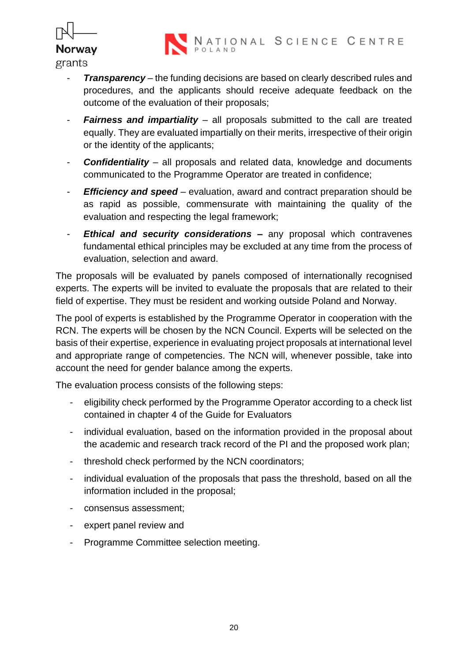

- **Transparency** the funding decisions are based on clearly described rules and procedures, and the applicants should receive adequate feedback on the outcome of the evaluation of their proposals;
- *Fairness and impartiality* all proposals submitted to the call are treated equally. They are evaluated impartially on their merits, irrespective of their origin or the identity of the applicants;
- *Confidentiality* all proposals and related data, knowledge and documents communicated to the Programme Operator are treated in confidence;
- *Efficiency and speed* evaluation, award and contract preparation should be as rapid as possible, commensurate with maintaining the quality of the evaluation and respecting the legal framework;
- *Ethical and security considerations –* any proposal which contravenes fundamental ethical principles may be excluded at any time from the process of evaluation, selection and award.

The proposals will be evaluated by panels composed of internationally recognised experts. The experts will be invited to evaluate the proposals that are related to their field of expertise. They must be resident and working outside Poland and Norway.

The pool of experts is established by the Programme Operator in cooperation with the RCN. The experts will be chosen by the NCN Council. Experts will be selected on the basis of their expertise, experience in evaluating project proposals at international level and appropriate range of competencies. The NCN will, whenever possible, take into account the need for gender balance among the experts.

The evaluation process consists of the following steps:

- eligibility check performed by the Programme Operator according to a check list contained in chapter 4 of the Guide for Evaluators
- individual evaluation, based on the information provided in the proposal about the academic and research track record of the PI and the proposed work plan;
- threshold check performed by the NCN coordinators;
- individual evaluation of the proposals that pass the threshold, based on all the information included in the proposal;
- consensus assessment;
- expert panel review and
- Programme Committee selection meeting.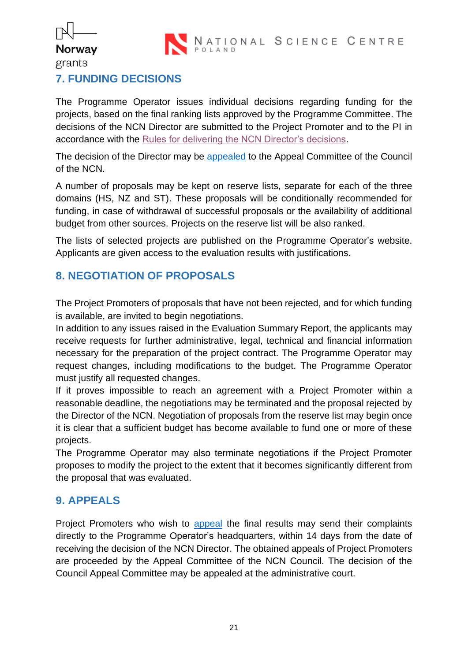

## **Norway** grants

ľ

## <span id="page-20-0"></span>**7. FUNDING DECISIONS**

The Programme Operator issues individual decisions regarding funding for the projects, based on the final ranking lists approved by the Programme Committee. The decisions of the NCN Director are submitted to the Project Promoter and to the PI in accordance with the [Rules for delivering the NCN Director's decisions.](https://www.ncn.gov.pl/sites/default/files/pliki/regulaminy/2019_12_16_zasady_doreczania_decyzji_dyrektora_ang.pdf)

The decision of the Director may be [appealed](https://www.ncn.gov.pl/finansowanie-nauki/informacje-dla-wnioskodawcow/instrukcja-odwolania?language=en) to the Appeal Committee of the Council of the NCN.

A number of proposals may be kept on reserve lists, separate for each of the three domains (HS, NZ and ST). These proposals will be conditionally recommended for funding, in case of withdrawal of successful proposals or the availability of additional budget from other sources. Projects on the reserve list will be also ranked.

The lists of selected projects are published on the Programme Operator's website. Applicants are given access to the evaluation results with justifications.

## <span id="page-20-1"></span>**8. NEGOTIATION OF PROPOSALS**

The Project Promoters of proposals that have not been rejected, and for which funding is available, are invited to begin negotiations.

In addition to any issues raised in the Evaluation Summary Report, the applicants may receive requests for further administrative, legal, technical and financial information necessary for the preparation of the project contract. The Programme Operator may request changes, including modifications to the budget. The Programme Operator must justify all requested changes.

If it proves impossible to reach an agreement with a Project Promoter within a reasonable deadline, the negotiations may be terminated and the proposal rejected by the Director of the NCN. Negotiation of proposals from the reserve list may begin once it is clear that a sufficient budget has become available to fund one or more of these projects.

The Programme Operator may also terminate negotiations if the Project Promoter proposes to modify the project to the extent that it becomes significantly different from the proposal that was evaluated.

## <span id="page-20-2"></span>**9. APPEALS**

Project Promoters who wish to [appeal](https://www.ncn.gov.pl/finansowanie-nauki/informacje-dla-wnioskodawcow/instrukcja-odwolania?language=en) the final results may send their complaints directly to the Programme Operator's headquarters, within 14 days from the date of receiving the decision of the NCN Director. The obtained appeals of Project Promoters are proceeded by the Appeal Committee of the NCN Council. The decision of the Council Appeal Committee may be appealed at the administrative court.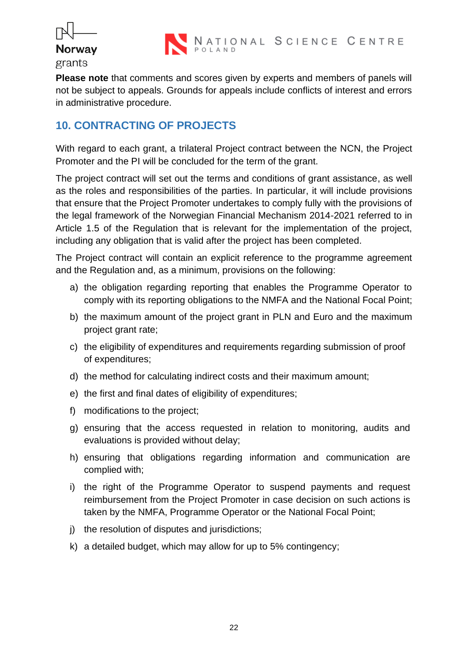

**Please note** that comments and scores given by experts and members of panels will not be subject to appeals. Grounds for appeals include conflicts of interest and errors in administrative procedure.

### <span id="page-21-0"></span>**10. CONTRACTING OF PROJECTS**

With regard to each grant, a trilateral Project contract between the NCN, the Project Promoter and the PI will be concluded for the term of the grant.

The project contract will set out the terms and conditions of grant assistance, as well as the roles and responsibilities of the parties. In particular, it will include provisions that ensure that the Project Promoter undertakes to comply fully with the provisions of the legal framework of the Norwegian Financial Mechanism 2014-2021 referred to in Article 1.5 of the Regulation that is relevant for the implementation of the project, including any obligation that is valid after the project has been completed.

The Project contract will contain an explicit reference to the programme agreement and the Regulation and, as a minimum, provisions on the following:

- a) the obligation regarding reporting that enables the Programme Operator to comply with its reporting obligations to the NMFA and the National Focal Point;
- b) the maximum amount of the project grant in PLN and Euro and the maximum project grant rate;
- c) the eligibility of expenditures and requirements regarding submission of proof of expenditures;
- d) the method for calculating indirect costs and their maximum amount;
- e) the first and final dates of eligibility of expenditures;
- f) modifications to the project;
- g) ensuring that the access requested in relation to monitoring, audits and evaluations is provided without delay;
- h) ensuring that obligations regarding information and communication are complied with;
- i) the right of the Programme Operator to suspend payments and request reimbursement from the Project Promoter in case decision on such actions is taken by the NMFA, Programme Operator or the National Focal Point;
- j) the resolution of disputes and jurisdictions;
- k) a detailed budget, which may allow for up to 5% contingency;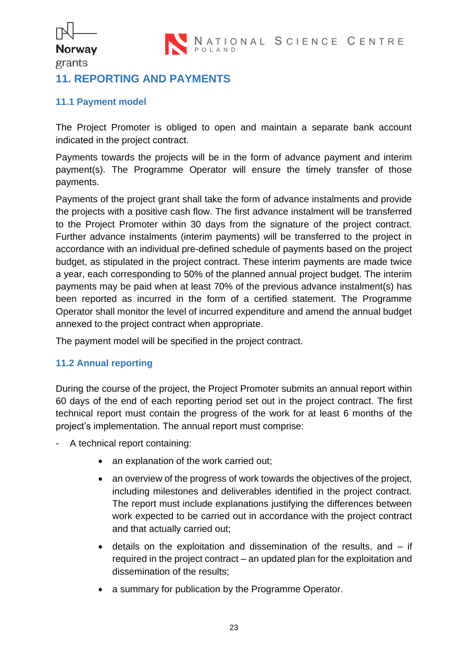

#### **Norway** grants

ľ

#### <span id="page-22-0"></span>**11. REPORTING AND PAYMENTS**

#### <span id="page-22-1"></span>**11.1 Payment model**

The Project Promoter is obliged to open and maintain a separate bank account indicated in the project contract.

Payments towards the projects will be in the form of advance payment and interim payment(s). The Programme Operator will ensure the timely transfer of those payments.

Payments of the project grant shall take the form of advance instalments and provide the projects with a positive cash flow. The first advance instalment will be transferred to the Project Promoter within 30 days from the signature of the project contract. Further advance instalments (interim payments) will be transferred to the project in accordance with an individual pre-defined schedule of payments based on the project budget, as stipulated in the project contract. These interim payments are made twice a year, each corresponding to 50% of the planned annual project budget. The interim payments may be paid when at least 70% of the previous advance instalment(s) has been reported as incurred in the form of a certified statement. The Programme Operator shall monitor the level of incurred expenditure and amend the annual budget annexed to the project contract when appropriate.

The payment model will be specified in the project contract.

#### <span id="page-22-2"></span>**11.2 Annual reporting**

During the course of the project, the Project Promoter submits an annual report within 60 days of the end of each reporting period set out in the project contract. The first technical report must contain the progress of the work for at least 6 months of the project's implementation. The annual report must comprise:

- A technical report containing:
	- an explanation of the work carried out;
	- an overview of the progress of work towards the objectives of the project, including milestones and deliverables identified in the project contract. The report must include explanations justifying the differences between work expected to be carried out in accordance with the project contract and that actually carried out;
	- details on the exploitation and dissemination of the results, and  $-$  if required in the project contract – an updated plan for the exploitation and dissemination of the results;
	- a summary for publication by the Programme Operator.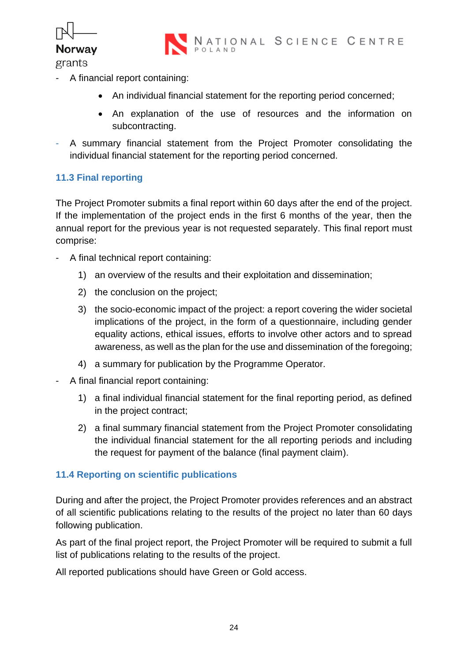

NATIONAL SCIENCE CENTRE

- grants
- A financial report containing:
	- An individual financial statement for the reporting period concerned;
	- An explanation of the use of resources and the information on subcontracting.
- A summary financial statement from the Project Promoter consolidating the individual financial statement for the reporting period concerned.

#### <span id="page-23-0"></span>**11.3 Final reporting**

The Project Promoter submits a final report within 60 days after the end of the project. If the implementation of the project ends in the first 6 months of the year, then the annual report for the previous year is not requested separately. This final report must comprise:

- A final technical report containing:
	- 1) an overview of the results and their exploitation and dissemination;
	- 2) the conclusion on the project;
	- 3) the socio-economic impact of the project: a report covering the wider societal implications of the project, in the form of a questionnaire, including gender equality actions, ethical issues, efforts to involve other actors and to spread awareness, as well as the plan for the use and dissemination of the foregoing;
	- 4) a summary for publication by the Programme Operator.
- A final financial report containing:
	- 1) a final individual financial statement for the final reporting period, as defined in the project contract;
	- 2) a final summary financial statement from the Project Promoter consolidating the individual financial statement for the all reporting periods and including the request for payment of the balance (final payment claim).

#### <span id="page-23-1"></span>**11.4 Reporting on scientific publications**

During and after the project, the Project Promoter provides references and an abstract of all scientific publications relating to the results of the project no later than 60 days following publication.

As part of the final project report, the Project Promoter will be required to submit a full list of publications relating to the results of the project.

All reported publications should have Green or Gold access.